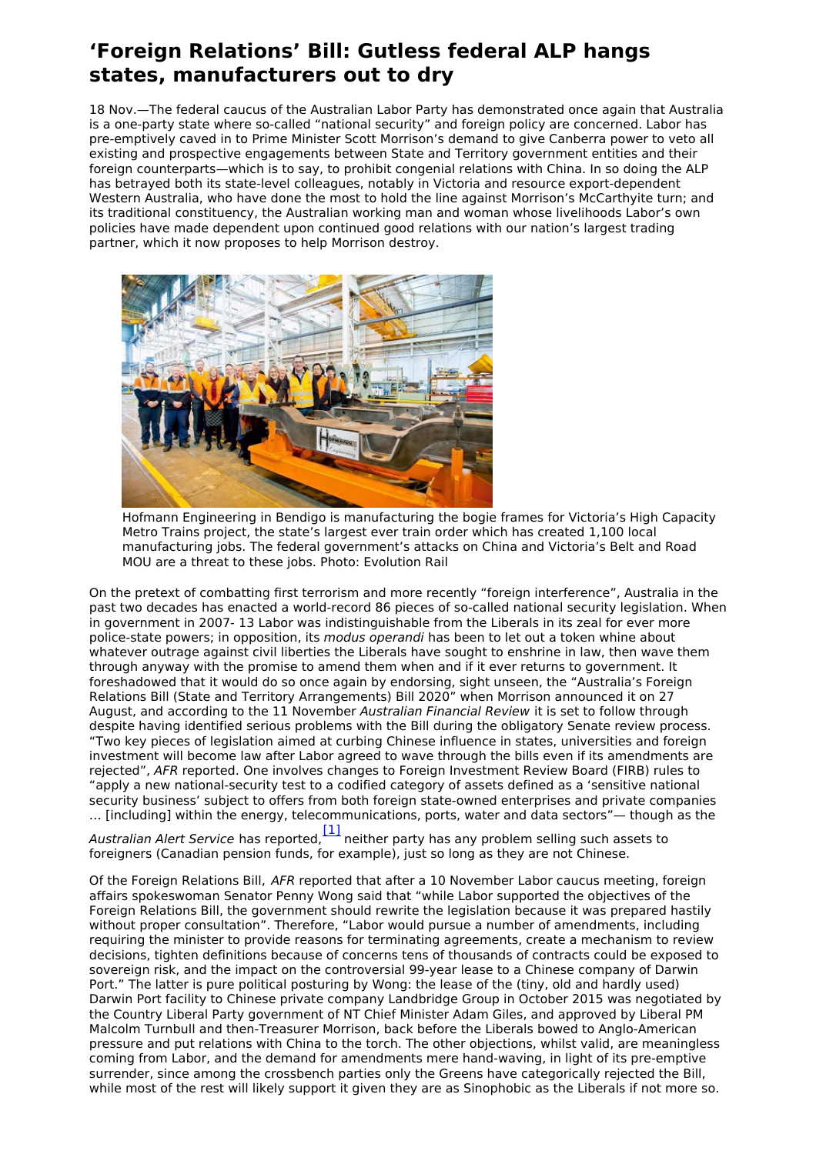## **'Foreign Relations' Bill: Gutless federal ALP hangs states, manufacturers out to dry**

18 Nov.—The federal caucus of the Australian Labor Party has demonstrated once again that Australia is a one-party state where so-called "national security" and foreign policy are concerned. Labor has pre-emptively caved in to Prime Minister Scott Morrison's demand to give Canberra power to veto all existing and prospective engagements between State and Territory government entities and their foreign counterparts—which is to say, to prohibit congenial relations with China. In so doing the ALP has betrayed both its state-level colleagues, notably in Victoria and resource export-dependent Western Australia, who have done the most to hold the line against Morrison's McCarthyite turn; and its traditional constituency, the Australian working man and woman whose livelihoods Labor's own policies have made dependent upon continued good relations with our nation's largest trading partner, which it now proposes to help Morrison destroy.



Hofmann Engineering in Bendigo is manufacturing the bogie frames for Victoria's High Capacity Metro Trains project, the state's largest ever train order which has created 1,100 local manufacturing jobs. The federal government's attacks on China and Victoria's Belt and Road MOU are a threat to these jobs. Photo: Evolution Rail

On the pretext of combatting first terrorism and more recently "foreign interference", Australia in the past two decades has enacted a world-record 86 pieces of so-called national security legislation. When in government in 2007- 13 Labor was indistinguishable from the Liberals in its zeal for ever more police-state powers; in opposition, its modus operandi has been to let out a token whine about whatever outrage against civil liberties the Liberals have sought to enshrine in law, then wave them through anyway with the promise to amend them when and if it ever returns to government. It foreshadowed that it would do so once again by endorsing, sight unseen, the "Australia's Foreign Relations Bill (State and Territory Arrangements) Bill 2020" when Morrison announced it on 27 August, and according to the 11 November Australian Financial Review it is set to follow through despite having identified serious problems with the Bill during the obligatory Senate review process. "Two key pieces of legislation aimed at curbing Chinese influence in states, universities and foreign investment will become law after Labor agreed to wave through the bills even if its amendments are rejected", AFR reported. One involves changes to Foreign Investment Review Board (FIRB) rules to "apply a new national-security test to a codified category of assets defined as a 'sensitive national security business' subject to offers from both foreign state-owned enterprises and private companies … [including] within the energy, telecommunications, ports, water and data sectors"— though as the

<span id="page-0-0"></span>Australian Alert Service has reported,  $\frac{[1]}{[1]}$  $\frac{[1]}{[1]}$  $\frac{[1]}{[1]}$  neither party has any problem selling such assets to foreigners (Canadian pension funds, for example), just so long as they are not Chinese.

Of the Foreign Relations Bill, AFR reported that after a 10 November Labor caucus meeting, foreign affairs spokeswoman Senator Penny Wong said that "while Labor supported the objectives of the Foreign Relations Bill, the government should rewrite the legislation because it was prepared hastily without proper consultation". Therefore, "Labor would pursue a number of amendments, including requiring the minister to provide reasons for terminating agreements, create a mechanism to review decisions, tighten definitions because of concerns tens of thousands of contracts could be exposed to sovereign risk, and the impact on the controversial 99-year lease to a Chinese company of Darwin Port." The latter is pure political posturing by Wong: the lease of the (tiny, old and hardly used) Darwin Port facility to Chinese private company Landbridge Group in October 2015 was negotiated by the Country Liberal Party government of NT Chief Minister Adam Giles, and approved by Liberal PM Malcolm Turnbull and then-Treasurer Morrison, back before the Liberals bowed to Anglo-American pressure and put relations with China to the torch. The other objections, whilst valid, are meaningless coming from Labor, and the demand for amendments mere hand-waving, in light of its pre-emptive surrender, since among the crossbench parties only the Greens have categorically rejected the Bill, while most of the rest will likely support it given they are as Sinophobic as the Liberals if not more so.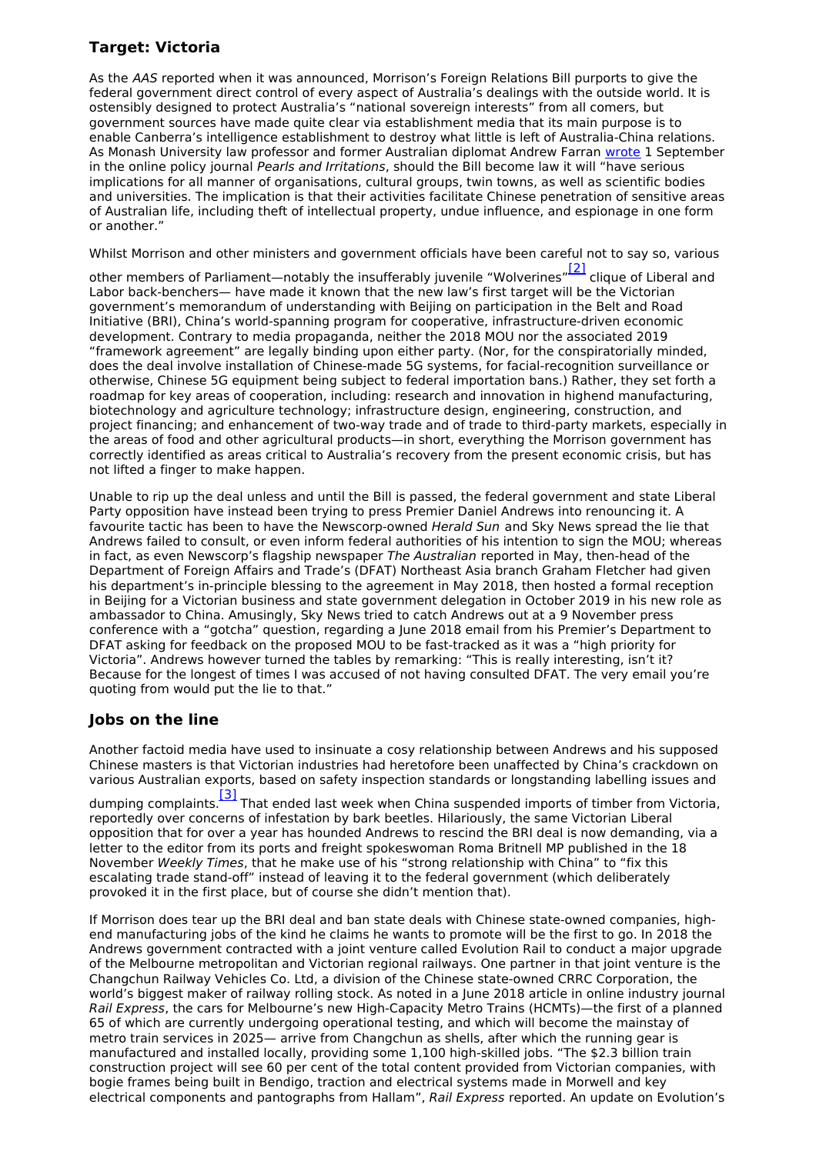## **Target: Victoria**

As the AAS reported when it was announced, Morrison's Foreign Relations Bill purports to give the federal government direct control of every aspect of Australia's dealings with the outside world. It is ostensibly designed to protect Australia's "national sovereign interests" from all comers, but government sources have made quite clear via establishment media that its main purpose is to enable Canberra's intelligence establishment to destroy what little is left of Australia-China relations. As Monash University law professor and former Australian diplomat Andrew Farran [wrote](https://johnmenadue.com/under-the-proposed-foreign-relations-bill-the-states-might-be-down-but-they-are-not-out/) 1 September in the online policy journal Pearls and Irritations, should the Bill become law it will "have serious implications for all manner of organisations, cultural groups, twin towns, as well as scientific bodies and universities. The implication is that their activities facilitate Chinese penetration of sensitive areas of Australian life, including theft of intellectual property, undue influence, and espionage in one form or another."

Whilst Morrison and other ministers and government officials have been careful not to say so, various

<span id="page-1-0"></span>other members of Parliament—notably the insufferably juvenile "Wolverines"<sup>[\[2\]](#page-2-1)</sup> clique of Liberal and Labor back-benchers— have made it known that the new law's first target will be the Victorian government's memorandum of understanding with Beijing on participation in the Belt and Road Initiative (BRI), China's world-spanning program for cooperative, infrastructure-driven economic development. Contrary to media propaganda, neither the 2018 MOU nor the associated 2019 "framework agreement" are legally binding upon either party. (Nor, for the conspiratorially minded, does the deal involve installation of Chinese-made 5G systems, for facial-recognition surveillance or otherwise, Chinese 5G equipment being subject to federal importation bans.) Rather, they set forth a roadmap for key areas of cooperation, including: research and innovation in highend manufacturing, biotechnology and agriculture technology; infrastructure design, engineering, construction, and project financing; and enhancement of two-way trade and of trade to third-party markets, especially in the areas of food and other agricultural products—in short, everything the Morrison government has correctly identified as areas critical to Australia's recovery from the present economic crisis, but has not lifted a finger to make happen.

Unable to rip up the deal unless and until the Bill is passed, the federal government and state Liberal Party opposition have instead been trying to press Premier Daniel Andrews into renouncing it. A favourite tactic has been to have the Newscorp-owned Herald Sun and Sky News spread the lie that Andrews failed to consult, or even inform federal authorities of his intention to sign the MOU; whereas in fact, as even Newscorp's flagship newspaper The Australian reported in May, then-head of the Department of Foreign Affairs and Trade's (DFAT) Northeast Asia branch Graham Fletcher had given his department's in-principle blessing to the agreement in May 2018, then hosted a formal reception in Beijing for a Victorian business and state government delegation in October 2019 in his new role as ambassador to China. Amusingly, Sky News tried to catch Andrews out at a 9 November press conference with a "gotcha" question, regarding a June 2018 email from his Premier's Department to DFAT asking for feedback on the proposed MOU to be fast-tracked as it was a "high priority for Victoria". Andrews however turned the tables by remarking: "This is really interesting, isn't it? Because for the longest of times I was accused of not having consulted DFAT. The very email you're quoting from would put the lie to that."

## **Jobs on the line**

Another factoid media have used to insinuate a cosy relationship between Andrews and his supposed Chinese masters is that Victorian industries had heretofore been unaffected by China's crackdown on various Australian exports, based on safety inspection standards or longstanding labelling issues and

<span id="page-1-1"></span>dumping complaints.<sup>[\[3\]](#page-2-2)</sup> That ended last week when China suspended imports of timber from Victoria, reportedly over concerns of infestation by bark beetles. Hilariously, the same Victorian Liberal opposition that for over a year has hounded Andrews to rescind the BRI deal is now demanding, via a letter to the editor from its ports and freight spokeswoman Roma Britnell MP published in the 18 November Weekly Times, that he make use of his "strong relationship with China" to "fix this escalating trade stand-off" instead of leaving it to the federal government (which deliberately provoked it in the first place, but of course she didn't mention that).

If Morrison does tear up the BRI deal and ban state deals with Chinese state-owned companies, highend manufacturing jobs of the kind he claims he wants to promote will be the first to go. In 2018 the Andrews government contracted with a joint venture called Evolution Rail to conduct a major upgrade of the Melbourne metropolitan and Victorian regional railways. One partner in that joint venture is the Changchun Railway Vehicles Co. Ltd, a division of the Chinese state-owned CRRC Corporation, the world's biggest maker of railway rolling stock. As noted in a June 2018 article in online industry journal Rail Express, the cars for Melbourne's new High-Capacity Metro Trains (HCMTs)—the first of a planned 65 of which are currently undergoing operational testing, and which will become the mainstay of metro train services in 2025— arrive from Changchun as shells, after which the running gear is manufactured and installed locally, providing some 1,100 high-skilled jobs. "The \$2.3 billion train construction project will see 60 per cent of the total content provided from Victorian companies, with bogie frames being built in Bendigo, traction and electrical systems made in Morwell and key electrical components and pantographs from Hallam", Rail Express reported. An update on Evolution's